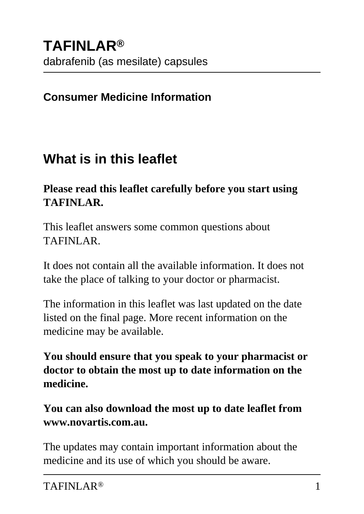### **Consumer Medicine Information**

### **What is in this leaflet**

#### **Please read this leaflet carefully before you start using TAFINLAR.**

This leaflet answers some common questions about TAFINLAR.

It does not contain all the available information. It does not take the place of talking to your doctor or pharmacist.

The information in this leaflet was last updated on the date listed on the final page. More recent information on the medicine may be available.

**You should ensure that you speak to your pharmacist or doctor to obtain the most up to date information on the medicine.**

**You can also download the most up to date leaflet from www.novartis.com.au.**

The updates may contain important information about the medicine and its use of which you should be aware.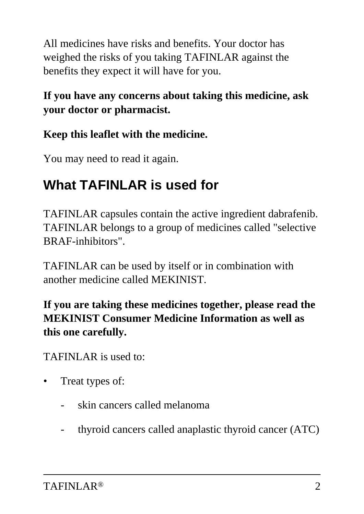All medicines have risks and benefits. Your doctor has weighed the risks of you taking TAFINLAR against the benefits they expect it will have for you.

### **If you have any concerns about taking this medicine, ask your doctor or pharmacist.**

### **Keep this leaflet with the medicine.**

You may need to read it again.

## **What TAFINLAR is used for**

TAFINLAR capsules contain the active ingredient dabrafenib. TAFINLAR belongs to a group of medicines called "selective BRAF-inhibitors".

TAFINLAR can be used by itself or in combination with another medicine called MEKINIST.

### **If you are taking these medicines together, please read the MEKINIST Consumer Medicine Information as well as this one carefully.**

TAFINLAR is used to:

- Treat types of:
	- skin cancers called melanoma
	- thyroid cancers called anaplastic thyroid cancer (ATC)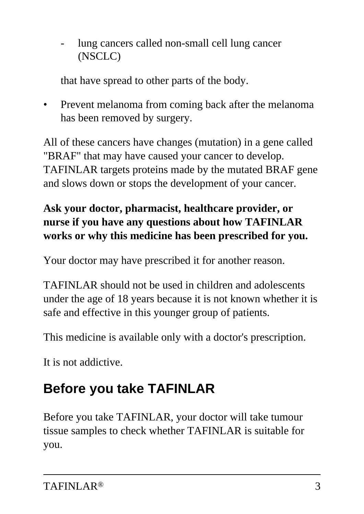lung cancers called non-small cell lung cancer (NSCLC)

that have spread to other parts of the body.

• Prevent melanoma from coming back after the melanoma has been removed by surgery.

All of these cancers have changes (mutation) in a gene called "BRAF" that may have caused your cancer to develop. TAFINLAR targets proteins made by the mutated BRAF gene and slows down or stops the development of your cancer.

### **Ask your doctor, pharmacist, healthcare provider, or nurse if you have any questions about how TAFINLAR works or why this medicine has been prescribed for you.**

Your doctor may have prescribed it for another reason.

TAFINLAR should not be used in children and adolescents under the age of 18 years because it is not known whether it is safe and effective in this younger group of patients.

This medicine is available only with a doctor's prescription.

It is not addictive.

## **Before you take TAFINLAR**

Before you take TAFINLAR, your doctor will take tumour tissue samples to check whether TAFINLAR is suitable for you.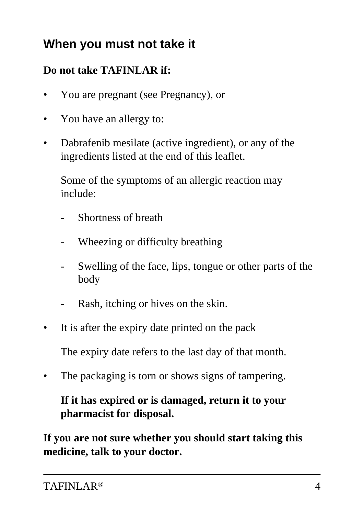## **When you must not take it**

### **Do not take TAFINLAR if:**

- You are pregnant (see Pregnancy), or
- You have an allergy to:
- Dabrafenib mesilate (active ingredient), or any of the ingredients listed at the end of this leaflet.

 Some of the symptoms of an allergic reaction may include:

- Shortness of breath
- Wheezing or difficulty breathing
- Swelling of the face, lips, tongue or other parts of the body
- Rash, itching or hives on the skin.
- It is after the expiry date printed on the pack

The expiry date refers to the last day of that month.

The packaging is torn or shows signs of tampering.

#### **If it has expired or is damaged, return it to your pharmacist for disposal.**

**If you are not sure whether you should start taking this medicine, talk to your doctor.**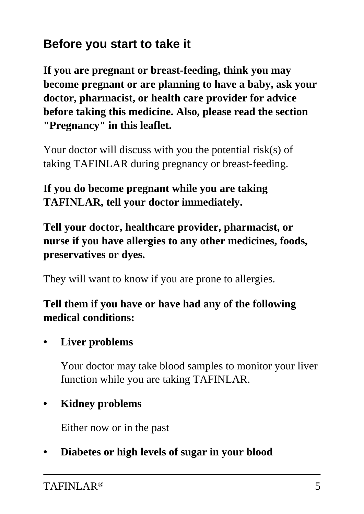## **Before you start to take it**

**If you are pregnant or breast-feeding, think you may become pregnant or are planning to have a baby, ask your doctor, pharmacist, or health care provider for advice before taking this medicine. Also, please read the section "Pregnancy" in this leaflet.**

Your doctor will discuss with you the potential risk(s) of taking TAFINLAR during pregnancy or breast-feeding.

**If you do become pregnant while you are taking TAFINLAR, tell your doctor immediately.**

**Tell your doctor, healthcare provider, pharmacist, or nurse if you have allergies to any other medicines, foods, preservatives or dyes.**

They will want to know if you are prone to allergies.

#### **Tell them if you have or have had any of the following medical conditions:**

**• Liver problems**

 Your doctor may take blood samples to monitor your liver function while you are taking TAFINLAR.

### **• Kidney problems**

Either now or in the past

**• Diabetes or high levels of sugar in your blood**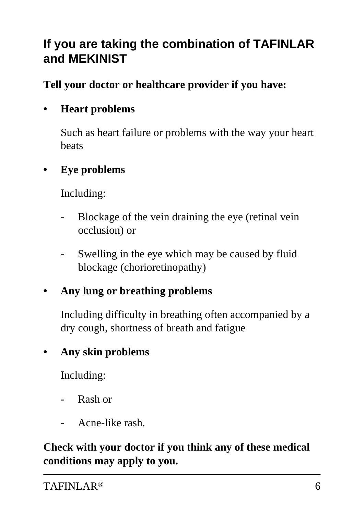## **If you are taking the combination of TAFINLAR and MEKINIST**

**Tell your doctor or healthcare provider if you have:**

### **• Heart problems**

 Such as heart failure or problems with the way your heart beats

#### **• Eye problems**

Including:

- Blockage of the vein draining the eye (retinal vein occlusion) or
- Swelling in the eye which may be caused by fluid blockage (chorioretinopathy)

### **• Any lung or breathing problems**

 Including difficulty in breathing often accompanied by a dry cough, shortness of breath and fatigue

### **• Any skin problems**

Including:

- Rash or
- Acne-like rash.

**Check with your doctor if you think any of these medical conditions may apply to you.**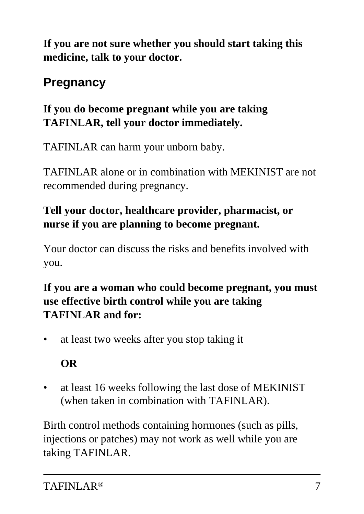**If you are not sure whether you should start taking this medicine, talk to your doctor.**

## **Pregnancy**

### **If you do become pregnant while you are taking TAFINLAR, tell your doctor immediately.**

TAFINLAR can harm your unborn baby.

TAFINLAR alone or in combination with MEKINIST are not recommended during pregnancy.

### **Tell your doctor, healthcare provider, pharmacist, or nurse if you are planning to become pregnant.**

Your doctor can discuss the risks and benefits involved with you.

### **If you are a woman who could become pregnant, you must use effective birth control while you are taking TAFINLAR and for:**

• at least two weeks after you stop taking it

### **OR**

• at least 16 weeks following the last dose of MEKINIST (when taken in combination with TAFINLAR).

Birth control methods containing hormones (such as pills, injections or patches) may not work as well while you are taking TAFINLAR.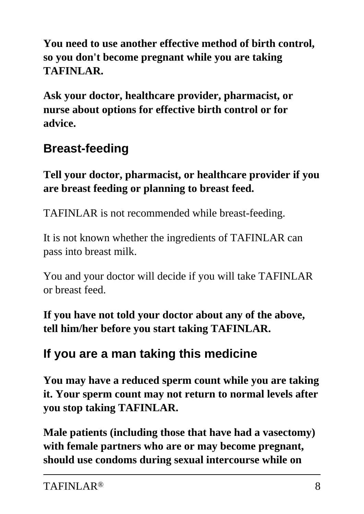**You need to use another effective method of birth control, so you don't become pregnant while you are taking TAFINLAR.**

**Ask your doctor, healthcare provider, pharmacist, or nurse about options for effective birth control or for advice.**

## **Breast-feeding**

**Tell your doctor, pharmacist, or healthcare provider if you are breast feeding or planning to breast feed.**

TAFINLAR is not recommended while breast-feeding.

It is not known whether the ingredients of TAFINLAR can pass into breast milk.

You and your doctor will decide if you will take TAFINLAR or breast feed.

**If you have not told your doctor about any of the above, tell him/her before you start taking TAFINLAR.**

## **If you are a man taking this medicine**

**You may have a reduced sperm count while you are taking it. Your sperm count may not return to normal levels after you stop taking TAFINLAR.**

**Male patients (including those that have had a vasectomy) with female partners who are or may become pregnant, should use condoms during sexual intercourse while on**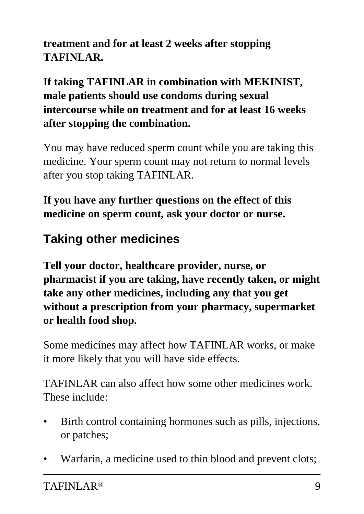**treatment and for at least 2 weeks after stopping TAFINLAR.**

**If taking TAFINLAR in combination with MEKINIST, male patients should use condoms during sexual intercourse while on treatment and for at least 16 weeks after stopping the combination.**

You may have reduced sperm count while you are taking this medicine. Your sperm count may not return to normal levels after you stop taking TAFINLAR.

**If you have any further questions on the effect of this medicine on sperm count, ask your doctor or nurse.**

## **Taking other medicines**

**Tell your doctor, healthcare provider, nurse, or pharmacist if you are taking, have recently taken, or might take any other medicines, including any that you get without a prescription from your pharmacy, supermarket or health food shop.**

Some medicines may affect how TAFINLAR works, or make it more likely that you will have side effects.

TAFINLAR can also affect how some other medicines work. These include:

- Birth control containing hormones such as pills, injections, or patches;
- Warfarin, a medicine used to thin blood and prevent clots;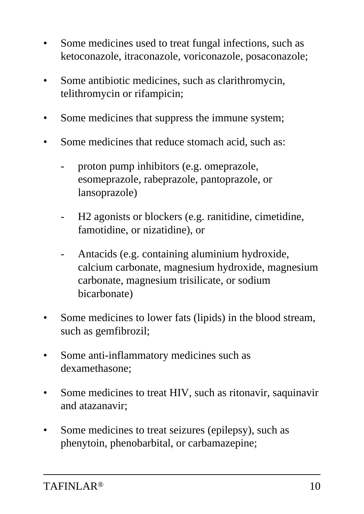- Some medicines used to treat fungal infections, such as ketoconazole, itraconazole, voriconazole, posaconazole;
- Some antibiotic medicines, such as clarithromycin, telithromycin or rifampicin;
- Some medicines that suppress the immune system;
- Some medicines that reduce stomach acid, such as:
	- proton pump inhibitors (e.g. omeprazole, esomeprazole, rabeprazole, pantoprazole, or lansoprazole)
	- H2 agonists or blockers (e.g. ranitidine, cimetidine, famotidine, or nizatidine), or
	- Antacids (e.g. containing aluminium hydroxide, calcium carbonate, magnesium hydroxide, magnesium carbonate, magnesium trisilicate, or sodium bicarbonate)
- Some medicines to lower fats (lipids) in the blood stream, such as gemfibrozil;
- Some anti-inflammatory medicines such as dexamethasone;
- Some medicines to treat HIV, such as ritonavir, saquinavir and atazanavir;
- Some medicines to treat seizures (epilepsy), such as phenytoin, phenobarbital, or carbamazepine;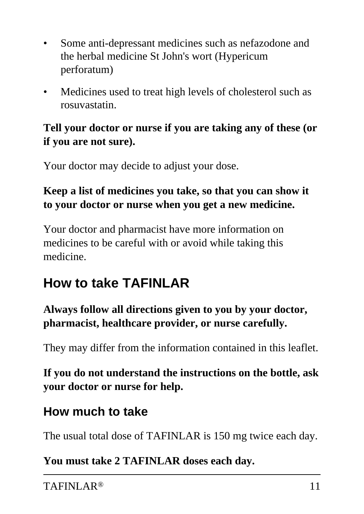- Some anti-depressant medicines such as nefazodone and the herbal medicine St John's wort (Hypericum perforatum)
- Medicines used to treat high levels of cholesterol such as rosuvastatin.

### **Tell your doctor or nurse if you are taking any of these (or if you are not sure).**

Your doctor may decide to adjust your dose.

### **Keep a list of medicines you take, so that you can show it to your doctor or nurse when you get a new medicine.**

Your doctor and pharmacist have more information on medicines to be careful with or avoid while taking this medicine.

## **How to take TAFINLAR**

**Always follow all directions given to you by your doctor, pharmacist, healthcare provider, or nurse carefully.**

They may differ from the information contained in this leaflet.

**If you do not understand the instructions on the bottle, ask your doctor or nurse for help.**

### **How much to take**

The usual total dose of TAFINLAR is 150 mg twice each day.

**You must take 2 TAFINLAR doses each day.**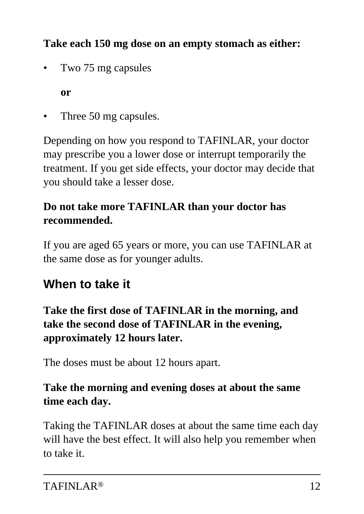### **Take each 150 mg dose on an empty stomach as either:**

• Two 75 mg capsules

 **or**

Three 50 mg capsules.

Depending on how you respond to TAFINLAR, your doctor may prescribe you a lower dose or interrupt temporarily the treatment. If you get side effects, your doctor may decide that you should take a lesser dose.

### **Do not take more TAFINLAR than your doctor has recommended.**

If you are aged 65 years or more, you can use TAFINLAR at the same dose as for younger adults.

## **When to take it**

### **Take the first dose of TAFINLAR in the morning, and take the second dose of TAFINLAR in the evening, approximately 12 hours later.**

The doses must be about 12 hours apart.

### **Take the morning and evening doses at about the same time each day.**

Taking the TAFINLAR doses at about the same time each day will have the best effect. It will also help you remember when to take it.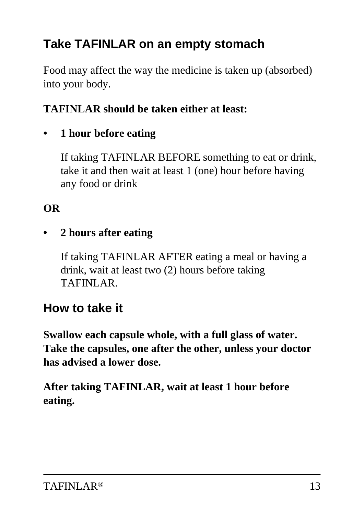## **Take TAFINLAR on an empty stomach**

Food may affect the way the medicine is taken up (absorbed) into your body.

#### **TAFINLAR should be taken either at least:**

**• 1 hour before eating**

 If taking TAFINLAR BEFORE something to eat or drink, take it and then wait at least 1 (one) hour before having any food or drink

### **OR**

#### **• 2 hours after eating**

 If taking TAFINLAR AFTER eating a meal or having a drink, wait at least two (2) hours before taking TAFINLAR.

### **How to take it**

**Swallow each capsule whole, with a full glass of water. Take the capsules, one after the other, unless your doctor has advised a lower dose.**

**After taking TAFINLAR, wait at least 1 hour before eating.**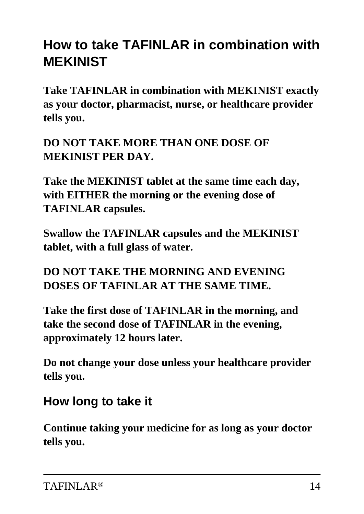## **How to take TAFINLAR in combination with MEKINIST**

**Take TAFINLAR in combination with MEKINIST exactly as your doctor, pharmacist, nurse, or healthcare provider tells you.**

**DO NOT TAKE MORE THAN ONE DOSE OF MEKINIST PER DAY.**

**Take the MEKINIST tablet at the same time each day, with EITHER the morning or the evening dose of TAFINLAR capsules.**

**Swallow the TAFINLAR capsules and the MEKINIST tablet, with a full glass of water.**

**DO NOT TAKE THE MORNING AND EVENING DOSES OF TAFINLAR AT THE SAME TIME.**

**Take the first dose of TAFINLAR in the morning, and take the second dose of TAFINLAR in the evening, approximately 12 hours later.**

**Do not change your dose unless your healthcare provider tells you.**

### **How long to take it**

**Continue taking your medicine for as long as your doctor tells you.**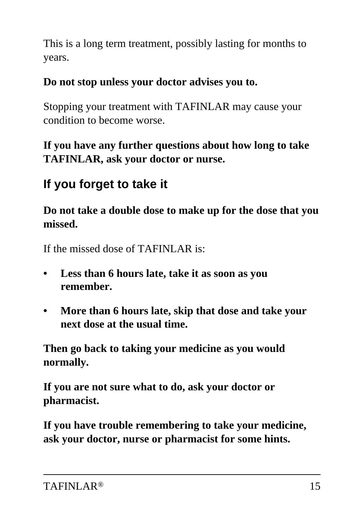This is a long term treatment, possibly lasting for months to years.

### **Do not stop unless your doctor advises you to.**

Stopping your treatment with TAFINLAR may cause your condition to become worse.

### **If you have any further questions about how long to take TAFINLAR, ask your doctor or nurse.**

## **If you forget to take it**

**Do not take a double dose to make up for the dose that you missed.**

If the missed dose of TAFINLAR is:

- **Less than 6 hours late, take it as soon as you remember.**
- **More than 6 hours late, skip that dose and take your next dose at the usual time.**

**Then go back to taking your medicine as you would normally.**

**If you are not sure what to do, ask your doctor or pharmacist.**

**If you have trouble remembering to take your medicine, ask your doctor, nurse or pharmacist for some hints.**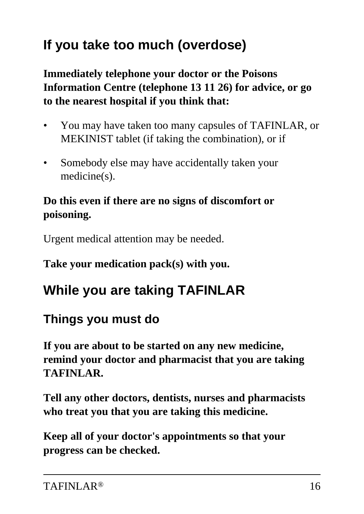# **If you take too much (overdose)**

**Immediately telephone your doctor or the Poisons Information Centre (telephone 13 11 26) for advice, or go to the nearest hospital if you think that:**

- You may have taken too many capsules of TAFINLAR, or MEKINIST tablet (if taking the combination), or if
- Somebody else may have accidentally taken your medicine(s).

### **Do this even if there are no signs of discomfort or poisoning.**

Urgent medical attention may be needed.

### **Take your medication pack(s) with you.**

## **While you are taking TAFINLAR**

## **Things you must do**

**If you are about to be started on any new medicine, remind your doctor and pharmacist that you are taking TAFINLAR.**

**Tell any other doctors, dentists, nurses and pharmacists who treat you that you are taking this medicine.**

**Keep all of your doctor's appointments so that your progress can be checked.**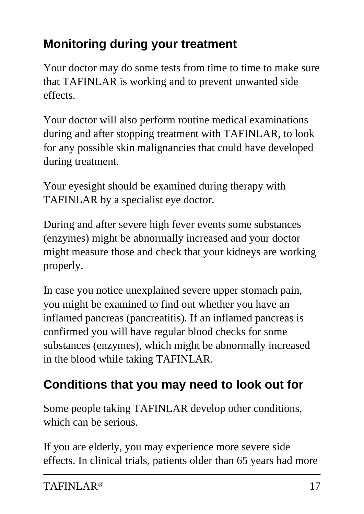## **Monitoring during your treatment**

Your doctor may do some tests from time to time to make sure that TAFINLAR is working and to prevent unwanted side effects.

Your doctor will also perform routine medical examinations during and after stopping treatment with TAFINLAR, to look for any possible skin malignancies that could have developed during treatment.

Your eyesight should be examined during therapy with TAFINLAR by a specialist eye doctor.

During and after severe high fever events some substances (enzymes) might be abnormally increased and your doctor might measure those and check that your kidneys are working properly.

In case you notice unexplained severe upper stomach pain, you might be examined to find out whether you have an inflamed pancreas (pancreatitis). If an inflamed pancreas is confirmed you will have regular blood checks for some substances (enzymes), which might be abnormally increased in the blood while taking TAFINLAR.

## **Conditions that you may need to look out for**

Some people taking TAFINLAR develop other conditions, which can be serious.

If you are elderly, you may experience more severe side effects. In clinical trials, patients older than 65 years had more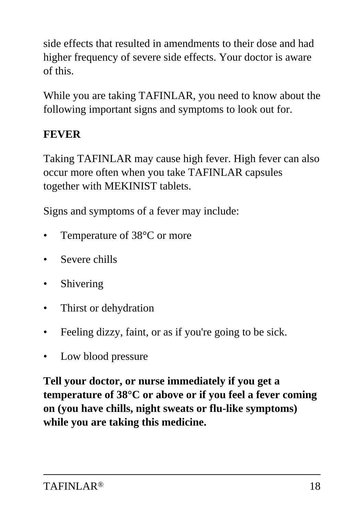side effects that resulted in amendments to their dose and had higher frequency of severe side effects. Your doctor is aware of this.

While you are taking TAFINLAR, you need to know about the following important signs and symptoms to look out for.

### **FEVER**

Taking TAFINLAR may cause high fever. High fever can also occur more often when you take TAFINLAR capsules together with MEKINIST tablets.

Signs and symptoms of a fever may include:

- Temperature of 38°C or more
- Severe chills
- **Shivering**
- Thirst or dehydration
- Feeling dizzy, faint, or as if you're going to be sick.
- Low blood pressure

**Tell your doctor, or nurse immediately if you get a temperature of 38°C or above or if you feel a fever coming on (you have chills, night sweats or flu-like symptoms) while you are taking this medicine.**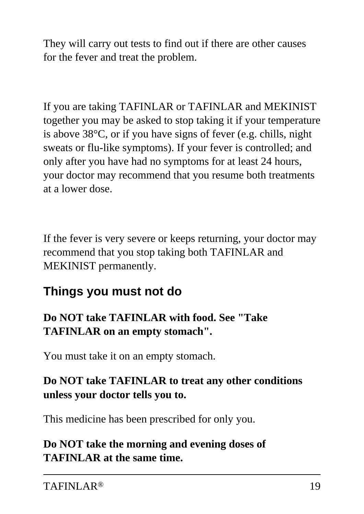They will carry out tests to find out if there are other causes for the fever and treat the problem.

If you are taking TAFINLAR or TAFINLAR and MEKINIST together you may be asked to stop taking it if your temperature is above 38°C, or if you have signs of fever (e.g. chills, night sweats or flu-like symptoms). If your fever is controlled; and only after you have had no symptoms for at least 24 hours, your doctor may recommend that you resume both treatments at a lower dose.

If the fever is very severe or keeps returning, your doctor may recommend that you stop taking both TAFINLAR and MEKINIST permanently.

### **Things you must not do**

### **Do NOT take TAFINLAR with food. See "Take TAFINLAR on an empty stomach".**

You must take it on an empty stomach.

### **Do NOT take TAFINLAR to treat any other conditions unless your doctor tells you to.**

This medicine has been prescribed for only you.

**Do NOT take the morning and evening doses of TAFINLAR at the same time.**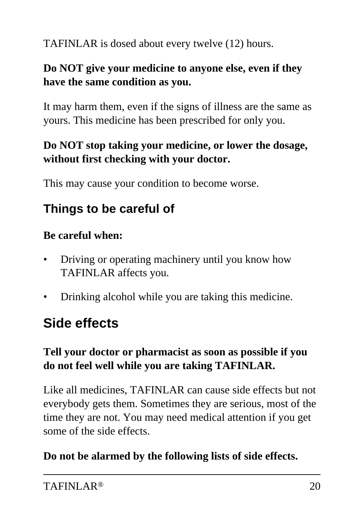TAFINLAR is dosed about every twelve (12) hours.

#### **Do NOT give your medicine to anyone else, even if they have the same condition as you.**

It may harm them, even if the signs of illness are the same as yours. This medicine has been prescribed for only you.

### **Do NOT stop taking your medicine, or lower the dosage, without first checking with your doctor.**

This may cause your condition to become worse.

## **Things to be careful of**

#### **Be careful when:**

- Driving or operating machinery until you know how TAFINLAR affects you.
- Drinking alcohol while you are taking this medicine.

## **Side effects**

#### **Tell your doctor or pharmacist as soon as possible if you do not feel well while you are taking TAFINLAR.**

Like all medicines, TAFINLAR can cause side effects but not everybody gets them. Sometimes they are serious, most of the time they are not. You may need medical attention if you get some of the side effects.

### **Do not be alarmed by the following lists of side effects.**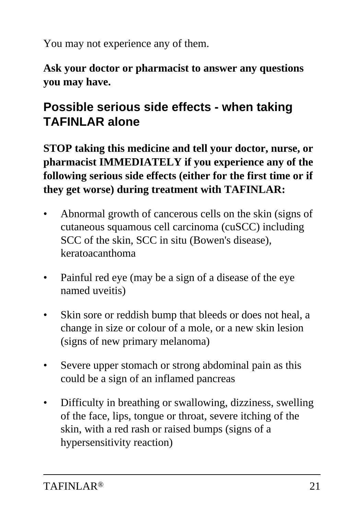You may not experience any of them.

**Ask your doctor or pharmacist to answer any questions you may have.**

## **Possible serious side effects - when taking TAFINLAR alone**

**STOP taking this medicine and tell your doctor, nurse, or pharmacist IMMEDIATELY if you experience any of the following serious side effects (either for the first time or if they get worse) during treatment with TAFINLAR:**

- Abnormal growth of cancerous cells on the skin (signs of cutaneous squamous cell carcinoma (cuSCC) including SCC of the skin, SCC in situ (Bowen's disease), keratoacanthoma
- Painful red eye (may be a sign of a disease of the eye named uveitis)
- Skin sore or reddish bump that bleeds or does not heal, a change in size or colour of a mole, or a new skin lesion (signs of new primary melanoma)
- Severe upper stomach or strong abdominal pain as this could be a sign of an inflamed pancreas
- Difficulty in breathing or swallowing, dizziness, swelling of the face, lips, tongue or throat, severe itching of the skin, with a red rash or raised bumps (signs of a hypersensitivity reaction)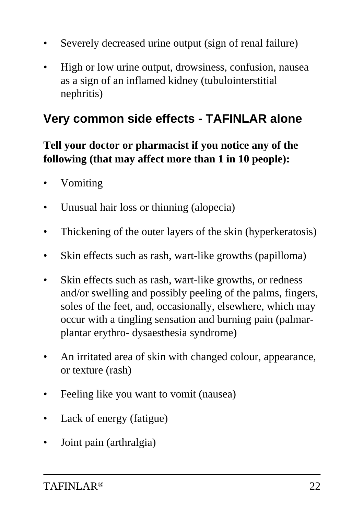- Severely decreased urine output (sign of renal failure)
- High or low urine output, drowsiness, confusion, nausea as a sign of an inflamed kidney (tubulointerstitial nephritis)

### **Very common side effects - TAFINLAR alone**

### **Tell your doctor or pharmacist if you notice any of the following (that may affect more than 1 in 10 people):**

- Vomiting
- Unusual hair loss or thinning (alopecia)
- Thickening of the outer layers of the skin (hyperkeratosis)
- Skin effects such as rash, wart-like growths (papilloma)
- Skin effects such as rash, wart-like growths, or redness and/or swelling and possibly peeling of the palms, fingers, soles of the feet, and, occasionally, elsewhere, which may occur with a tingling sensation and burning pain (palmarplantar erythro- dysaesthesia syndrome)
- An irritated area of skin with changed colour, appearance, or texture (rash)
- Feeling like you want to vomit (nausea)
- Lack of energy (fatigue)
- Joint pain (arthralgia)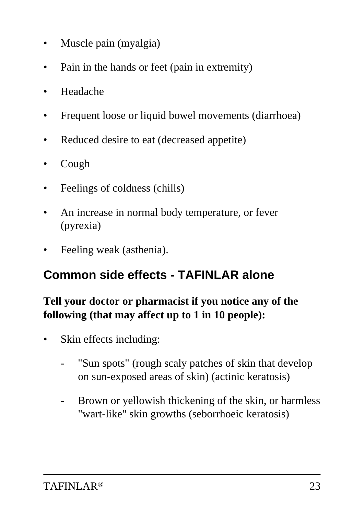- Muscle pain (myalgia)
- Pain in the hands or feet (pain in extremity)
- Headache
- Frequent loose or liquid bowel movements (diarrhoea)
- Reduced desire to eat (decreased appetite)
- Cough
- Feelings of coldness (chills)
- An increase in normal body temperature, or fever (pyrexia)
- Feeling weak (asthenia).

### **Common side effects - TAFINLAR alone**

### **Tell your doctor or pharmacist if you notice any of the following (that may affect up to 1 in 10 people):**

- Skin effects including:
	- "Sun spots" (rough scaly patches of skin that develop on sun-exposed areas of skin) (actinic keratosis)
	- Brown or yellowish thickening of the skin, or harmless "wart-like" skin growths (seborrhoeic keratosis)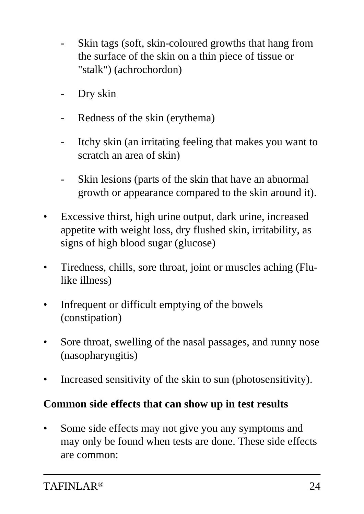- Skin tags (soft, skin-coloured growths that hang from the surface of the skin on a thin piece of tissue or "stalk") (achrochordon)
- Dry skin
- Redness of the skin (erythema)
- Itchy skin (an irritating feeling that makes you want to scratch an area of skin)
- Skin lesions (parts of the skin that have an abnormal growth or appearance compared to the skin around it).
- Excessive thirst, high urine output, dark urine, increased appetite with weight loss, dry flushed skin, irritability, as signs of high blood sugar (glucose)
- Tiredness, chills, sore throat, joint or muscles aching (Flulike illness)
- Infrequent or difficult emptying of the bowels (constipation)
- Sore throat, swelling of the nasal passages, and runny nose (nasopharyngitis)
- Increased sensitivity of the skin to sun (photosensitivity).

#### **Common side effects that can show up in test results**

Some side effects may not give you any symptoms and may only be found when tests are done. These side effects are common: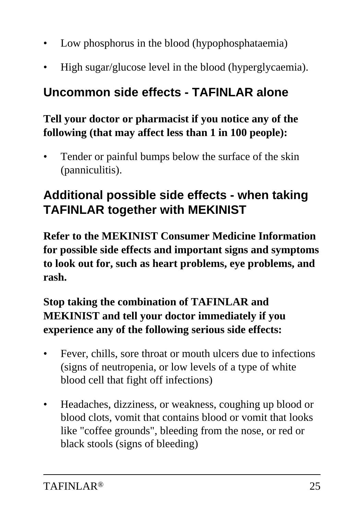- Low phosphorus in the blood (hypophosphataemia)
- High sugar/glucose level in the blood (hyperglycaemia).

### **Uncommon side effects - TAFINLAR alone**

### **Tell your doctor or pharmacist if you notice any of the following (that may affect less than 1 in 100 people):**

Tender or painful bumps below the surface of the skin (panniculitis).

### **Additional possible side effects - when taking TAFINLAR together with MEKINIST**

**Refer to the MEKINIST Consumer Medicine Information for possible side effects and important signs and symptoms to look out for, such as heart problems, eye problems, and rash.**

### **Stop taking the combination of TAFINLAR and MEKINIST and tell your doctor immediately if you experience any of the following serious side effects:**

- Fever, chills, sore throat or mouth ulcers due to infections (signs of neutropenia, or low levels of a type of white blood cell that fight off infections)
- Headaches, dizziness, or weakness, coughing up blood or blood clots, vomit that contains blood or vomit that looks like "coffee grounds", bleeding from the nose, or red or black stools (signs of bleeding)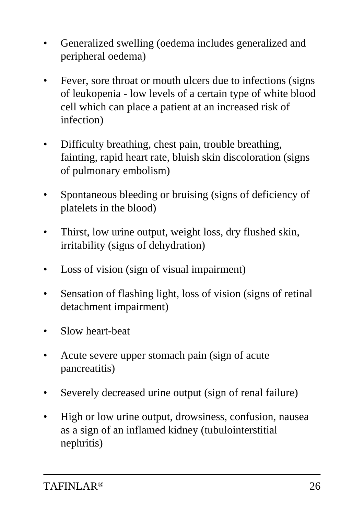- Generalized swelling (oedema includes generalized and peripheral oedema)
- Fever, sore throat or mouth ulcers due to infections (signs of leukopenia - low levels of a certain type of white blood cell which can place a patient at an increased risk of infection)
- Difficulty breathing, chest pain, trouble breathing, fainting, rapid heart rate, bluish skin discoloration (signs of pulmonary embolism)
- Spontaneous bleeding or bruising (signs of deficiency of platelets in the blood)
- Thirst, low urine output, weight loss, dry flushed skin, irritability (signs of dehydration)
- Loss of vision (sign of visual impairment)
- Sensation of flashing light, loss of vision (signs of retinal detachment impairment)
- Slow heart-beat
- Acute severe upper stomach pain (sign of acute pancreatitis)
- Severely decreased urine output (sign of renal failure)
- High or low urine output, drowsiness, confusion, nausea as a sign of an inflamed kidney (tubulointerstitial nephritis)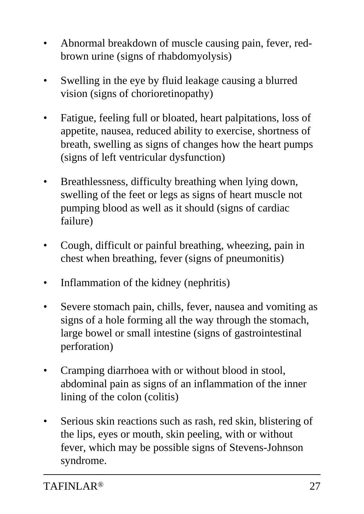- Abnormal breakdown of muscle causing pain, fever, redbrown urine (signs of rhabdomyolysis)
- Swelling in the eye by fluid leakage causing a blurred vision (signs of chorioretinopathy)
- Fatigue, feeling full or bloated, heart palpitations, loss of appetite, nausea, reduced ability to exercise, shortness of breath, swelling as signs of changes how the heart pumps (signs of left ventricular dysfunction)
- Breathlessness, difficulty breathing when lying down, swelling of the feet or legs as signs of heart muscle not pumping blood as well as it should (signs of cardiac failure)
- Cough, difficult or painful breathing, wheezing, pain in chest when breathing, fever (signs of pneumonitis)
- Inflammation of the kidney (nephritis)
- Severe stomach pain, chills, fever, nausea and vomiting as signs of a hole forming all the way through the stomach, large bowel or small intestine (signs of gastrointestinal perforation)
- Cramping diarrhoea with or without blood in stool, abdominal pain as signs of an inflammation of the inner lining of the colon (colitis)
- Serious skin reactions such as rash, red skin, blistering of the lips, eyes or mouth, skin peeling, with or without fever, which may be possible signs of Stevens-Johnson syndrome.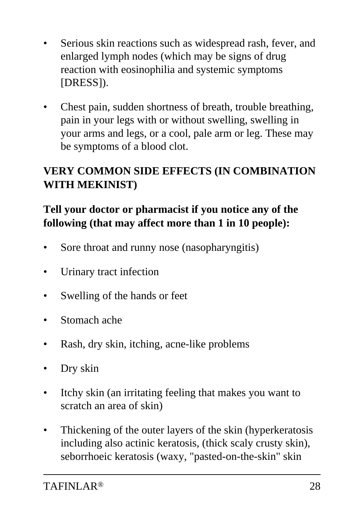- Serious skin reactions such as widespread rash, fever, and enlarged lymph nodes (which may be signs of drug reaction with eosinophilia and systemic symptoms [DRESS]).
- Chest pain, sudden shortness of breath, trouble breathing, pain in your legs with or without swelling, swelling in your arms and legs, or a cool, pale arm or leg. These may be symptoms of a blood clot.

### **VERY COMMON SIDE EFFECTS (IN COMBINATION WITH MEKINIST)**

### **Tell your doctor or pharmacist if you notice any of the following (that may affect more than 1 in 10 people):**

- Sore throat and runny nose (nasopharyngitis)
- Urinary tract infection
- Swelling of the hands or feet
- Stomach ache
- Rash, dry skin, itching, acne-like problems
- Dry skin
- Itchy skin (an irritating feeling that makes you want to scratch an area of skin)
- Thickening of the outer layers of the skin (hyperkeratosis) including also actinic keratosis, (thick scaly crusty skin), seborrhoeic keratosis (waxy, "pasted-on-the-skin" skin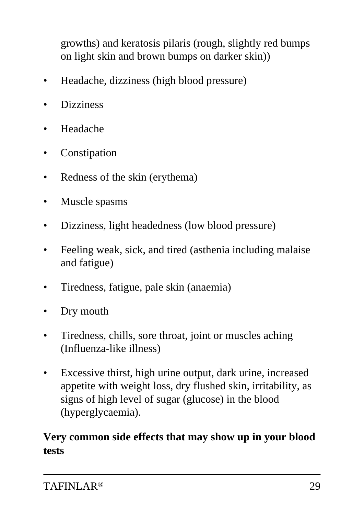growths) and keratosis pilaris (rough, slightly red bumps on light skin and brown bumps on darker skin))

- Headache, dizziness (high blood pressure)
- **Dizziness**
- Headache
- **Constipation**
- Redness of the skin (erythema)
- Muscle spasms
- Dizziness, light headedness (low blood pressure)
- Feeling weak, sick, and tired (asthenia including malaise and fatigue)
- Tiredness, fatigue, pale skin (anaemia)
- Dry mouth
- Tiredness, chills, sore throat, joint or muscles aching (Influenza-like illness)
- Excessive thirst, high urine output, dark urine, increased appetite with weight loss, dry flushed skin, irritability, as signs of high level of sugar (glucose) in the blood (hyperglycaemia).

#### **Very common side effects that may show up in your blood tests**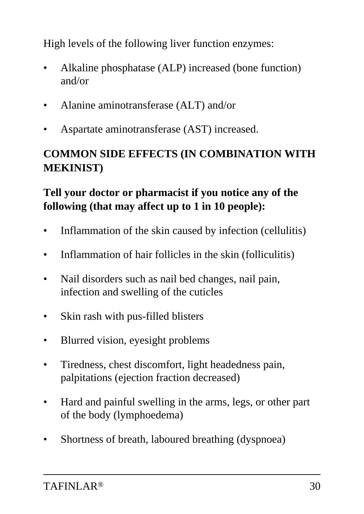High levels of the following liver function enzymes:

- Alkaline phosphatase (ALP) increased (bone function) and/or
- Alanine aminotransferase (ALT) and/or
- Aspartate aminotransferase (AST) increased.

### **COMMON SIDE EFFECTS (IN COMBINATION WITH MEKINIST)**

### **Tell your doctor or pharmacist if you notice any of the following (that may affect up to 1 in 10 people):**

- Inflammation of the skin caused by infection (cellulitis)
- Inflammation of hair follicles in the skin (folliculitis)
- Nail disorders such as nail bed changes, nail pain, infection and swelling of the cuticles
- Skin rash with pus-filled blisters
- Blurred vision, eyesight problems
- Tiredness, chest discomfort, light headedness pain, palpitations (ejection fraction decreased)
- Hard and painful swelling in the arms, legs, or other part of the body (lymphoedema)
- Shortness of breath, laboured breathing (dyspnoea)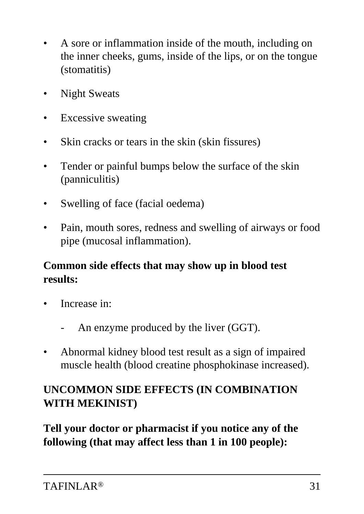- A sore or inflammation inside of the mouth, including on the inner cheeks, gums, inside of the lips, or on the tongue (stomatitis)
- **Night Sweats**
- Excessive sweating
- Skin cracks or tears in the skin (skin fissures)
- Tender or painful bumps below the surface of the skin (panniculitis)
- Swelling of face (facial oedema)
- Pain, mouth sores, redness and swelling of airways or food pipe (mucosal inflammation).

### **Common side effects that may show up in blood test results:**

- Increase in:
	- An enzyme produced by the liver (GGT).
- Abnormal kidney blood test result as a sign of impaired muscle health (blood creatine phosphokinase increased).

### **UNCOMMON SIDE EFFECTS (IN COMBINATION WITH MEKINIST)**

**Tell your doctor or pharmacist if you notice any of the following (that may affect less than 1 in 100 people):**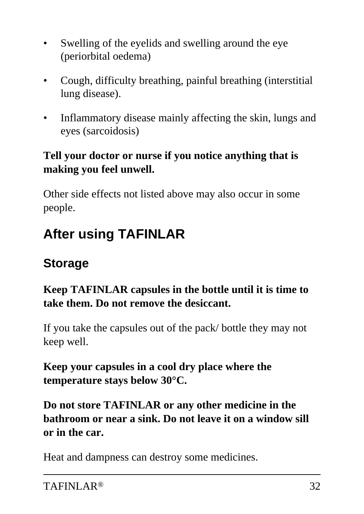- Swelling of the eyelids and swelling around the eye (periorbital oedema)
- Cough, difficulty breathing, painful breathing (interstitial lung disease).
- Inflammatory disease mainly affecting the skin, lungs and eyes (sarcoidosis)

### **Tell your doctor or nurse if you notice anything that is making you feel unwell.**

Other side effects not listed above may also occur in some people.

## **After using TAFINLAR**

### **Storage**

### **Keep TAFINLAR capsules in the bottle until it is time to take them. Do not remove the desiccant.**

If you take the capsules out of the pack/ bottle they may not keep well.

### **Keep your capsules in a cool dry place where the temperature stays below 30°C.**

**Do not store TAFINLAR or any other medicine in the bathroom or near a sink. Do not leave it on a window sill or in the car.**

Heat and dampness can destroy some medicines.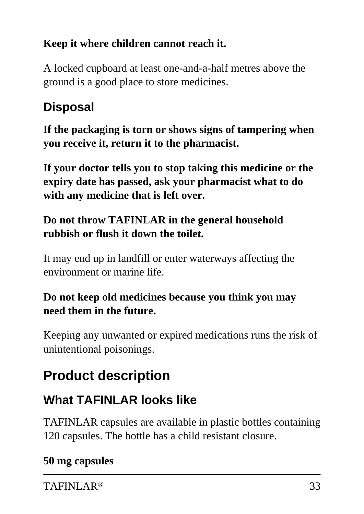### **Keep it where children cannot reach it.**

A locked cupboard at least one-and-a-half metres above the ground is a good place to store medicines.

## **Disposal**

**If the packaging is torn or shows signs of tampering when you receive it, return it to the pharmacist.**

**If your doctor tells you to stop taking this medicine or the expiry date has passed, ask your pharmacist what to do with any medicine that is left over.**

### **Do not throw TAFINLAR in the general household rubbish or flush it down the toilet.**

It may end up in landfill or enter waterways affecting the environment or marine life.

### **Do not keep old medicines because you think you may need them in the future.**

Keeping any unwanted or expired medications runs the risk of unintentional poisonings.

# **Product description**

## **What TAFINLAR looks like**

TAFINLAR capsules are available in plastic bottles containing 120 capsules. The bottle has a child resistant closure.

### **50 mg capsules**

TAFINLAR<sup>®</sup> 33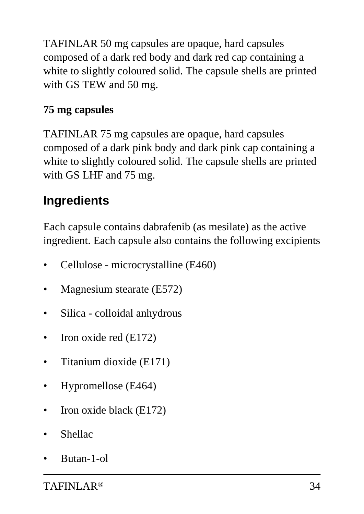TAFINLAR 50 mg capsules are opaque, hard capsules composed of a dark red body and dark red cap containing a white to slightly coloured solid. The capsule shells are printed with GS TEW and 50 mg.

### **75 mg capsules**

TAFINLAR 75 mg capsules are opaque, hard capsules composed of a dark pink body and dark pink cap containing a white to slightly coloured solid. The capsule shells are printed with GS LHF and 75 mg.

## **Ingredients**

Each capsule contains dabrafenib (as mesilate) as the active ingredient. Each capsule also contains the following excipients

- Cellulose microcrystalline (E460)
- Magnesium stearate (E572)
- Silica colloidal anhydrous
- Iron oxide red  $(E172)$
- Titanium dioxide (E171)
- Hypromellose (E464)
- Iron oxide black (E172)
- **Shellac**
- Butan-1-ol

TAFINLAR<sup>®</sup> 34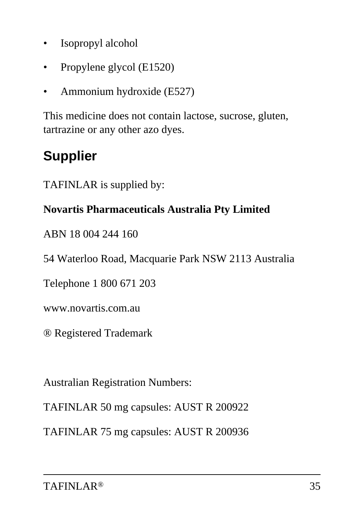- Isopropyl alcohol
- Propylene glycol (E1520)
- Ammonium hydroxide (E527)

This medicine does not contain lactose, sucrose, gluten, tartrazine or any other azo dyes.

# **Supplier**

TAFINLAR is supplied by:

#### **Novartis Pharmaceuticals Australia Pty Limited**

ABN 18 004 244 160

54 Waterloo Road, Macquarie Park NSW 2113 Australia

Telephone 1 800 671 203

www.novartis.com.au

® Registered Trademark

Australian Registration Numbers:

TAFINLAR 50 mg capsules: AUST R 200922

TAFINLAR 75 mg capsules: AUST R 200936